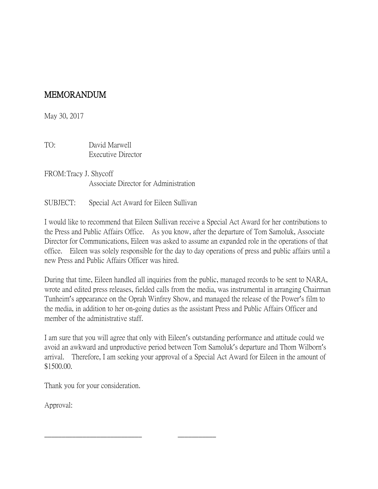## MEMORANDUM

May 30, 2017

TO: David Marwell Executive Director

FROM:Tracy J. Shycoff Associate Director for Administration

SUBJECT: Special Act Award for Eileen Sullivan

I would like to recommend that Eileen Sullivan receive a Special Act Award for her contributions to the Press and Public Affairs Office. As you know, after the departure of Tom Samoluk, Associate Director for Communications, Eileen was asked to assume an expanded role in the operations of that office. Eileen was solely responsible for the day to day operations of press and public affairs until a new Press and Public Affairs Officer was hired.

During that time, Eileen handled all inquiries from the public, managed records to be sent to NARA, wrote and edited press releases, fielded calls from the media, was instrumental in arranging Chairman Tunheim's appearance on the Oprah Winfrey Show, and managed the release of the Power's film to the media, in addition to her on-going duties as the assistant Press and Public Affairs Officer and member of the administrative staff.

I am sure that you will agree that only with Eileen's outstanding performance and attitude could we avoid an awkward and unproductive period between Tom Samoluk's departure and Thom Wilborn's arrival. Therefore, I am seeking your approval of a Special Act Award for Eileen in the amount of \$1500.00.

Thank you for your consideration.

\_\_\_\_\_\_\_\_\_\_\_\_\_\_\_\_\_\_\_\_\_\_\_\_\_\_\_\_ \_\_\_\_\_\_\_\_\_\_\_

Approval: